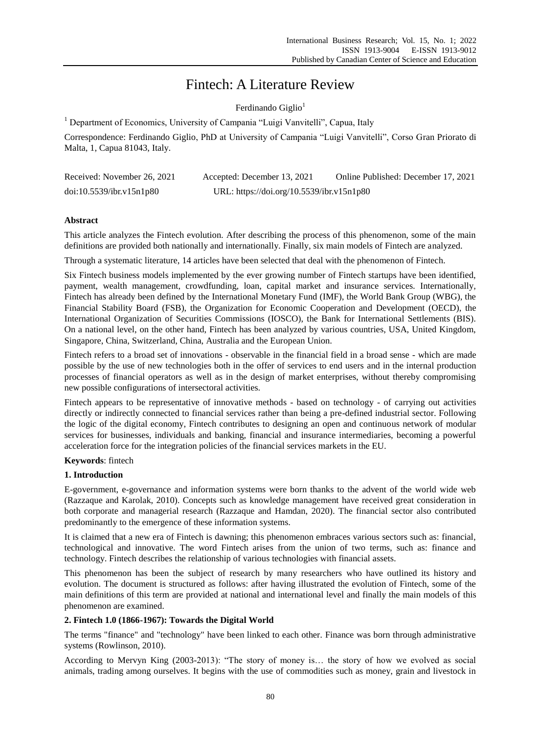# Fintech: A Literature Review

Ferdinando Giglio $<sup>1</sup>$ </sup>

<sup>1</sup> Department of Economics, University of Campania "Luigi Vanvitelli", Capua, Italy

Correspondence: Ferdinando Giglio, PhD at University of Campania "Luigi Vanvitelli", Corso Gran Priorato di Malta, 1, Capua 81043, Italy.

| Received: November 26, 2021 | Accepted: December 13, 2021               | Online Published: December 17, 2021 |
|-----------------------------|-------------------------------------------|-------------------------------------|
| doi:10.5539/ibr.v15n1p80    | URL: https://doi.org/10.5539/ibr.v15n1p80 |                                     |

# **Abstract**

This article analyzes the Fintech evolution. After describing the process of this phenomenon, some of the main definitions are provided both nationally and internationally. Finally, six main models of Fintech are analyzed.

Through a systematic literature, 14 articles have been selected that deal with the phenomenon of Fintech.

Six Fintech business models implemented by the ever growing number of Fintech startups have been identified, payment, wealth management, crowdfunding, loan, capital market and insurance services. Internationally, Fintech has already been defined by the International Monetary Fund (IMF), the World Bank Group (WBG), the Financial Stability Board (FSB), the Organization for Economic Cooperation and Development (OECD), the International Organization of Securities Commissions (IOSCO), the Bank for International Settlements (BIS). On a national level, on the other hand, Fintech has been analyzed by various countries, USA, United Kingdom, Singapore, China, Switzerland, China, Australia and the European Union.

Fintech refers to a broad set of innovations - observable in the financial field in a broad sense - which are made possible by the use of new technologies both in the offer of services to end users and in the internal production processes of financial operators as well as in the design of market enterprises, without thereby compromising new possible configurations of intersectoral activities.

Fintech appears to be representative of innovative methods - based on technology - of carrying out activities directly or indirectly connected to financial services rather than being a pre-defined industrial sector. Following the logic of the digital economy, Fintech contributes to designing an open and continuous network of modular services for businesses, individuals and banking, financial and insurance intermediaries, becoming a powerful acceleration force for the integration policies of the financial services markets in the EU.

# **Keywords**: fintech

# **1. Introduction**

E-government, e-governance and information systems were born thanks to the advent of the world wide web (Razzaque and Karolak, 2010). Concepts such as knowledge management have received great consideration in both corporate and managerial research (Razzaque and Hamdan, 2020). The financial sector also contributed predominantly to the emergence of these information systems.

It is claimed that a new era of Fintech is dawning; this phenomenon embraces various sectors such as: financial, technological and innovative. The word Fintech arises from the union of two terms, such as: finance and technology. Fintech describes the relationship of various technologies with financial assets.

This phenomenon has been the subject of research by many researchers who have outlined its history and evolution. The document is structured as follows: after having illustrated the evolution of Fintech, some of the main definitions of this term are provided at national and international level and finally the main models of this phenomenon are examined.

# **2. Fintech 1.0 (1866-1967): Towards the Digital World**

The terms "finance" and "technology" have been linked to each other. Finance was born through administrative systems (Rowlinson, 2010).

According to Mervyn King (2003-2013): "The story of money is… the story of how we evolved as social animals, trading among ourselves. It begins with the use of commodities such as money, grain and livestock in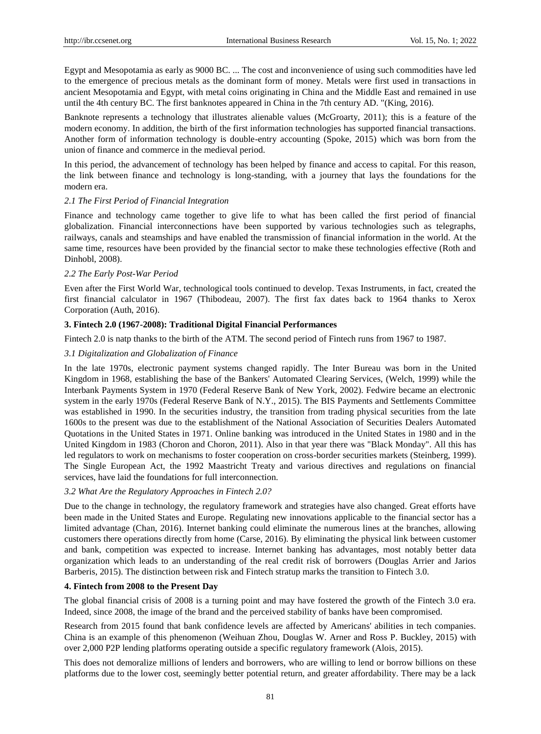Egypt and Mesopotamia as early as 9000 BC. ... The cost and inconvenience of using such commodities have led to the emergence of precious metals as the dominant form of money. Metals were first used in transactions in ancient Mesopotamia and Egypt, with metal coins originating in China and the Middle East and remained in use until the 4th century BC. The first banknotes appeared in China in the 7th century AD. "(King, 2016).

Banknote represents a technology that illustrates alienable values (McGroarty, 2011); this is a feature of the modern economy. In addition, the birth of the first information technologies has supported financial transactions. Another form of information technology is double-entry accounting (Spoke, 2015) which was born from the union of finance and commerce in the medieval period.

In this period, the advancement of technology has been helped by finance and access to capital. For this reason, the link between finance and technology is long-standing, with a journey that lays the foundations for the modern era.

# *2.1 The First Period of Financial Integration*

Finance and technology came together to give life to what has been called the first period of financial globalization. Financial interconnections have been supported by various technologies such as telegraphs, railways, canals and steamships and have enabled the transmission of financial information in the world. At the same time, resources have been provided by the financial sector to make these technologies effective (Roth and Dinhobl, 2008).

# *2.2 The Early Post-War Period*

Even after the First World War, technological tools continued to develop. Texas Instruments, in fact, created the first financial calculator in 1967 (Thibodeau, 2007). The first fax dates back to 1964 thanks to Xerox Corporation (Auth, 2016).

# **3. Fintech 2.0 (1967-2008): Traditional Digital Financial Performances**

Fintech 2.0 is natp thanks to the birth of the ATM. The second period of Fintech runs from 1967 to 1987.

# *3.1 Digitalization and Globalization of Finance*

In the late 1970s, electronic payment systems changed rapidly. The Inter Bureau was born in the United Kingdom in 1968, establishing the base of the Bankers' Automated Clearing Services, (Welch, 1999) while the Interbank Payments System in 1970 (Federal Reserve Bank of New York, 2002). Fedwire became an electronic system in the early 1970s (Federal Reserve Bank of N.Y., 2015). The BIS Payments and Settlements Committee was established in 1990. In the securities industry, the transition from trading physical securities from the late 1600s to the present was due to the establishment of the National Association of Securities Dealers Automated Quotations in the United States in 1971. Online banking was introduced in the United States in 1980 and in the United Kingdom in 1983 (Choron and Choron, 2011). Also in that year there was "Black Monday". All this has led regulators to work on mechanisms to foster cooperation on cross-border securities markets (Steinberg, 1999). The Single European Act, the 1992 Maastricht Treaty and various directives and regulations on financial services, have laid the foundations for full interconnection.

# *3.2 What Are the Regulatory Approaches in Fintech 2.0?*

Due to the change in technology, the regulatory framework and strategies have also changed. Great efforts have been made in the United States and Europe. Regulating new innovations applicable to the financial sector has a limited advantage (Chan, 2016). Internet banking could eliminate the numerous lines at the branches, allowing customers there operations directly from home (Carse, 2016). By eliminating the physical link between customer and bank, competition was expected to increase. Internet banking has advantages, most notably better data organization which leads to an understanding of the real credit risk of borrowers (Douglas Arrier and Jarios Barberis, 2015). The distinction between risk and Fintech stratup marks the transition to Fintech 3.0.

# **4. Fintech from 2008 to the Present Day**

The global financial crisis of 2008 is a turning point and may have fostered the growth of the Fintech 3.0 era. Indeed, since 2008, the image of the brand and the perceived stability of banks have been compromised.

Research from 2015 found that bank confidence levels are affected by Americans' abilities in tech companies. China is an example of this phenomenon (Weihuan Zhou, Douglas W. Arner and Ross P. Buckley, 2015) with over 2,000 P2P lending platforms operating outside a specific regulatory framework (Alois, 2015).

This does not demoralize millions of lenders and borrowers, who are willing to lend or borrow billions on these platforms due to the lower cost, seemingly better potential return, and greater affordability. There may be a lack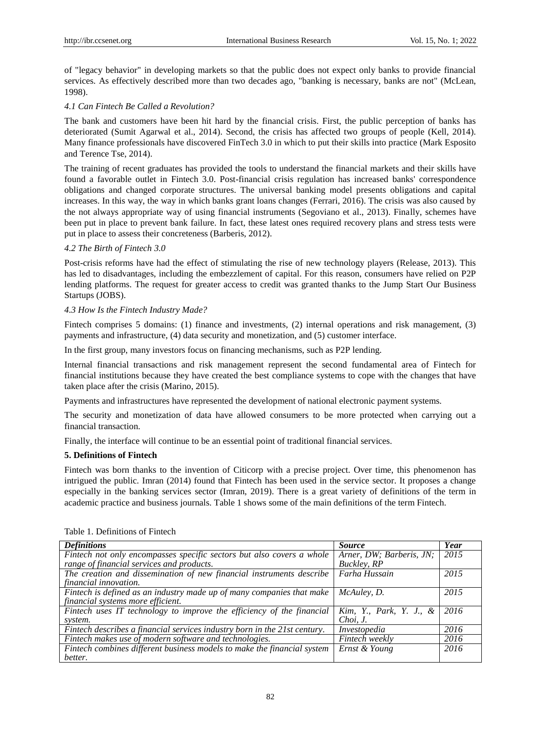of "legacy behavior" in developing markets so that the public does not expect only banks to provide financial services. As effectively described more than two decades ago, "banking is necessary, banks are not" (McLean, 1998).

# *4.1 Can Fintech Be Called a Revolution?*

The bank and customers have been hit hard by the financial crisis. First, the public perception of banks has deteriorated (Sumit Agarwal et al., 2014). Second, the crisis has affected two groups of people (Kell, 2014). Many finance professionals have discovered FinTech 3.0 in which to put their skills into practice (Mark Esposito and Terence Tse, 2014).

The training of recent graduates has provided the tools to understand the financial markets and their skills have found a favorable outlet in Fintech 3.0. Post-financial crisis regulation has increased banks' correspondence obligations and changed corporate structures. The universal banking model presents obligations and capital increases. In this way, the way in which banks grant loans changes (Ferrari, 2016). The crisis was also caused by the not always appropriate way of using financial instruments (Segoviano et al., 2013). Finally, schemes have been put in place to prevent bank failure. In fact, these latest ones required recovery plans and stress tests were put in place to assess their concreteness (Barberis, 2012).

## *4.2 The Birth of Fintech 3.0*

Post-crisis reforms have had the effect of stimulating the rise of new technology players (Release, 2013). This has led to disadvantages, including the embezzlement of capital. For this reason, consumers have relied on P2P lending platforms. The request for greater access to credit was granted thanks to the Jump Start Our Business Startups (JOBS).

# *4.3 How Is the Fintech Industry Made?*

Fintech comprises 5 domains: (1) finance and investments, (2) internal operations and risk management, (3) payments and infrastructure, (4) data security and monetization, and (5) customer interface.

In the first group, many investors focus on financing mechanisms, such as P2P lending.

Internal financial transactions and risk management represent the second fundamental area of Fintech for financial institutions because they have created the best compliance systems to cope with the changes that have taken place after the crisis (Marino, 2015).

Payments and infrastructures have represented the development of national electronic payment systems.

The security and monetization of data have allowed consumers to be more protected when carrying out a financial transaction.

Finally, the interface will continue to be an essential point of traditional financial services.

## **5. Definitions of Fintech**

Fintech was born thanks to the invention of Citicorp with a precise project. Over time, this phenomenon has intrigued the public. Imran (2014) found that Fintech has been used in the service sector. It proposes a change especially in the banking services sector (Imran, 2019). There is a great variety of definitions of the term in academic practice and business journals. Table 1 shows some of the main definitions of the term Fintech.

| <b>Definitions</b>                                                        | <b>Source</b>              | Year |
|---------------------------------------------------------------------------|----------------------------|------|
| Fintech not only encompasses specific sectors but also covers a whole     | Arner, DW; Barberis, JN;   | 2015 |
| range of financial services and products.                                 | Buckley, RP                |      |
| The creation and dissemination of new financial instruments describe      | Farha Hussain              | 2015 |
| financial innovation.                                                     |                            |      |
| Fintech is defined as an industry made up of many companies that make     | McAuley, D.                | 2015 |
| financial systems more efficient.                                         |                            |      |
| Fintech uses IT technology to improve the efficiency of the financial     | Kim, Y., Park, Y. J., $\&$ | 2016 |
| system.                                                                   | Choi, J.                   |      |
| Fintech describes a financial services industry born in the 21st century. | Investopedia               | 2016 |
| Fintech makes use of modern software and technologies.                    | Fintech weekly             | 2016 |
| Fintech combines different business models to make the financial system   | Ernst & Young              | 2016 |
| better.                                                                   |                            |      |

Table 1. Definitions of Fintech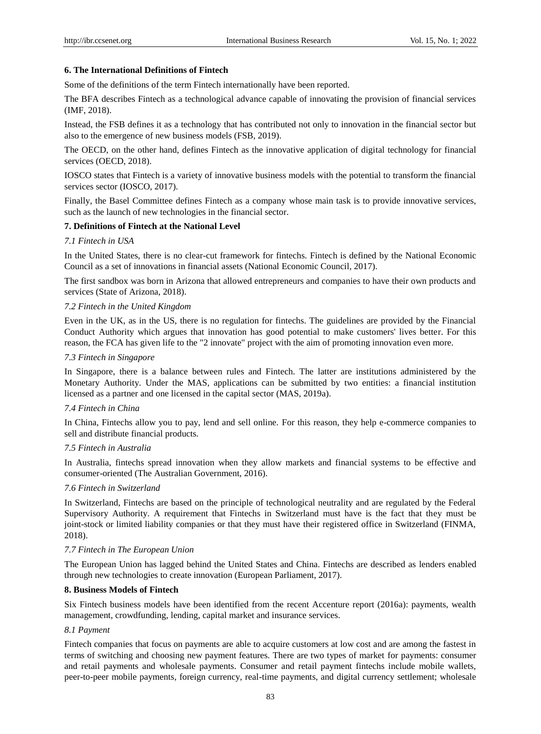#### **6. The International Definitions of Fintech**

Some of the definitions of the term Fintech internationally have been reported.

The BFA describes Fintech as a technological advance capable of innovating the provision of financial services (IMF, 2018).

Instead, the FSB defines it as a technology that has contributed not only to innovation in the financial sector but also to the emergence of new business models (FSB, 2019).

The OECD, on the other hand, defines Fintech as the innovative application of digital technology for financial services (OECD, 2018).

IOSCO states that Fintech is a variety of innovative business models with the potential to transform the financial services sector (IOSCO, 2017).

Finally, the Basel Committee defines Fintech as a company whose main task is to provide innovative services, such as the launch of new technologies in the financial sector.

# **7. Definitions of Fintech at the National Level**

## *7.1 Fintech in USA*

In the United States, there is no clear-cut framework for fintechs. Fintech is defined by the National Economic Council as a set of innovations in financial assets (National Economic Council, 2017).

The first sandbox was born in Arizona that allowed entrepreneurs and companies to have their own products and services (State of Arizona, 2018).

## *7.2 Fintech in the United Kingdom*

Even in the UK, as in the US, there is no regulation for fintechs. The guidelines are provided by the Financial Conduct Authority which argues that innovation has good potential to make customers' lives better. For this reason, the FCA has given life to the "2 innovate" project with the aim of promoting innovation even more.

#### *7.3 Fintech in Singapore*

In Singapore, there is a balance between rules and Fintech. The latter are institutions administered by the Monetary Authority. Under the MAS, applications can be submitted by two entities: a financial institution licensed as a partner and one licensed in the capital sector (MAS, 2019a).

#### *7.4 Fintech in China*

In China, Fintechs allow you to pay, lend and sell online. For this reason, they help e-commerce companies to sell and distribute financial products.

#### *7.5 Fintech in Australia*

In Australia, fintechs spread innovation when they allow markets and financial systems to be effective and consumer-oriented (The Australian Government, 2016).

## *7.6 Fintech in Switzerland*

In Switzerland, Fintechs are based on the principle of technological neutrality and are regulated by the Federal Supervisory Authority. A requirement that Fintechs in Switzerland must have is the fact that they must be joint-stock or limited liability companies or that they must have their registered office in Switzerland (FINMA, 2018).

#### *7.7 Fintech in The European Union*

The European Union has lagged behind the United States and China. Fintechs are described as lenders enabled through new technologies to create innovation (European Parliament, 2017).

# **8. Business Models of Fintech**

Six Fintech business models have been identified from the recent Accenture report (2016a): payments, wealth management, crowdfunding, lending, capital market and insurance services.

# *8.1 Payment*

Fintech companies that focus on payments are able to acquire customers at low cost and are among the fastest in terms of switching and choosing new payment features. There are two types of market for payments: consumer and retail payments and wholesale payments. Consumer and retail payment fintechs include mobile wallets, peer-to-peer mobile payments, foreign currency, real-time payments, and digital currency settlement; wholesale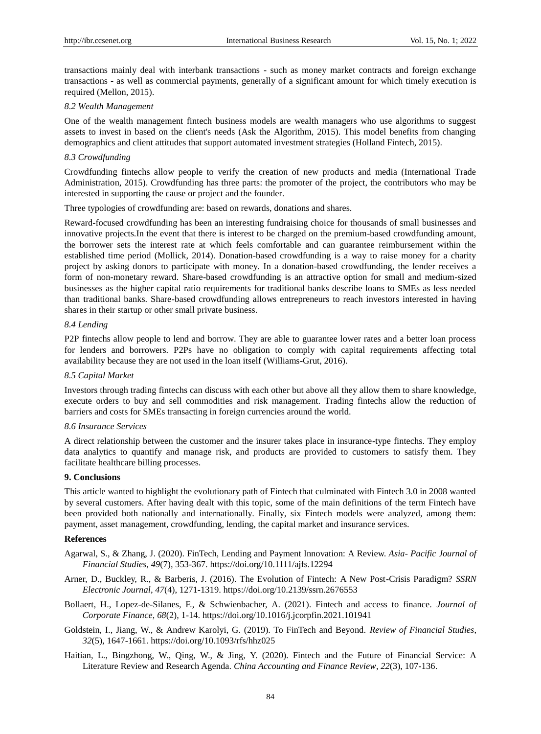transactions mainly deal with interbank transactions - such as money market contracts and foreign exchange transactions - as well as commercial payments, generally of a significant amount for which timely execution is required (Mellon, 2015).

#### *8.2 Wealth Management*

One of the wealth management fintech business models are wealth managers who use algorithms to suggest assets to invest in based on the client's needs (Ask the Algorithm, 2015). This model benefits from changing demographics and client attitudes that support automated investment strategies (Holland Fintech, 2015).

## *8.3 Crowdfunding*

Crowdfunding fintechs allow people to verify the creation of new products and media (International Trade Administration, 2015). Crowdfunding has three parts: the promoter of the project, the contributors who may be interested in supporting the cause or project and the founder.

Three typologies of crowdfunding are: based on rewards, donations and shares.

Reward-focused crowdfunding has been an interesting fundraising choice for thousands of small businesses and innovative projects.In the event that there is interest to be charged on the premium-based crowdfunding amount, the borrower sets the interest rate at which feels comfortable and can guarantee reimbursement within the established time period (Mollick, 2014). Donation-based crowdfunding is a way to raise money for a charity project by asking donors to participate with money. In a donation-based crowdfunding, the lender receives a form of non-monetary reward. Share-based crowdfunding is an attractive option for small and medium-sized businesses as the higher capital ratio requirements for traditional banks describe loans to SMEs as less needed than traditional banks. Share-based crowdfunding allows entrepreneurs to reach investors interested in having shares in their startup or other small private business.

### *8.4 Lending*

P2P fintechs allow people to lend and borrow. They are able to guarantee lower rates and a better loan process for lenders and borrowers. P2Ps have no obligation to comply with capital requirements affecting total availability because they are not used in the loan itself (Williams-Grut, 2016).

#### *8.5 Capital Market*

Investors through trading fintechs can discuss with each other but above all they allow them to share knowledge, execute orders to buy and sell commodities and risk management. Trading fintechs allow the reduction of barriers and costs for SMEs transacting in foreign currencies around the world.

#### *8.6 Insurance Services*

A direct relationship between the customer and the insurer takes place in insurance-type fintechs. They employ data analytics to quantify and manage risk, and products are provided to customers to satisfy them. They facilitate healthcare billing processes.

#### **9. Conclusions**

This article wanted to highlight the evolutionary path of Fintech that culminated with Fintech 3.0 in 2008 wanted by several customers. After having dealt with this topic, some of the main definitions of the term Fintech have been provided both nationally and internationally. Finally, six Fintech models were analyzed, among them: payment, asset management, crowdfunding, lending, the capital market and insurance services.

#### **References**

Agarwal, S., & Zhang, J. (2020). FinTech, Lending and Payment Innovation: A Review. *Asia- Pacific Journal of Financial Studies*, *49*(7), 353-367.<https://doi.org/10.1111/ajfs.12294>

- Arner, D., Buckley, R., & Barberis, J. (2016). The Evolution of Fintech: A New Post-Crisis Paradigm? *SSRN Electronic Journal*, *47*(4), 1271-1319. https://doi.org/10.2139/ssrn.2676553
- Bollaert, H., Lopez-de-Silanes, F., & Schwienbacher, A. (2021). Fintech and access to finance. *Journal of Corporate Finance*, *68*(2), 1-14.<https://doi.org/10.1016/j.jcorpfin.2021.101941>
- Goldstein, I., Jiang, W., & Andrew Karolyi, G. (2019). To FinTech and Beyond. *Review of Financial Studies*, *32*(5), 1647-1661.<https://doi.org/10.1093/rfs/hhz025>
- Haitian, L., Bingzhong, W., Qing, W., & Jing, Y. (2020). Fintech and the Future of Financial Service: A Literature Review and Research Agenda. *China Accounting and Finance Review*, *22*(3), 107-136.